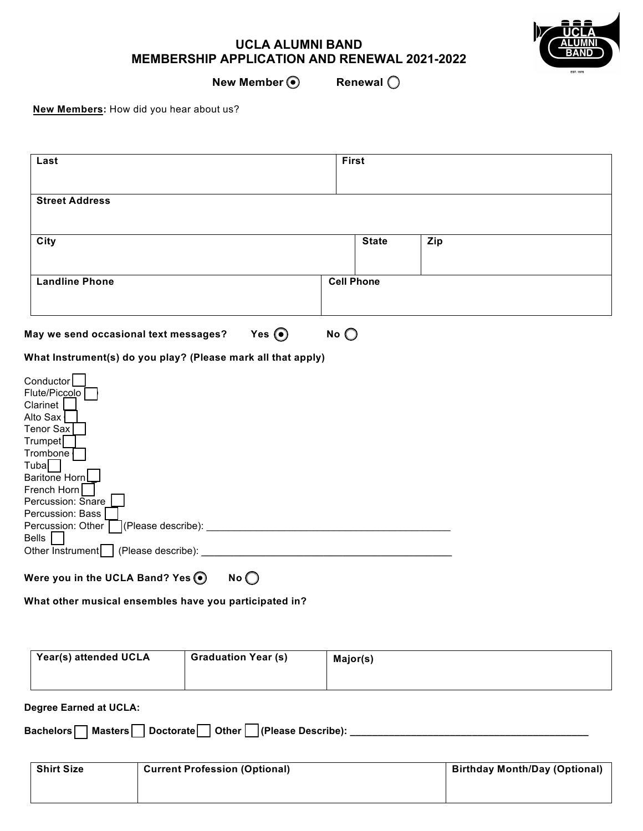## **UCLA ALUMNI BAND MEMBERSHIP APPLICATION AND RENEWAL 2021-2022**



**New Member**  $\odot$  **Renewal**  $\odot$ 

**New Members:** How did you hear about us?

| Last                                                                                                                                                                                                                                                                                                                                                                                                                                                                                                   | <b>First</b>      |     |  |
|--------------------------------------------------------------------------------------------------------------------------------------------------------------------------------------------------------------------------------------------------------------------------------------------------------------------------------------------------------------------------------------------------------------------------------------------------------------------------------------------------------|-------------------|-----|--|
| <b>Street Address</b>                                                                                                                                                                                                                                                                                                                                                                                                                                                                                  |                   |     |  |
| City                                                                                                                                                                                                                                                                                                                                                                                                                                                                                                   | <b>State</b>      | Zip |  |
| <b>Landline Phone</b>                                                                                                                                                                                                                                                                                                                                                                                                                                                                                  | <b>Cell Phone</b> |     |  |
| Yes $\odot$<br>May we send occasional text messages?                                                                                                                                                                                                                                                                                                                                                                                                                                                   | No                |     |  |
| What Instrument(s) do you play? (Please mark all that apply)<br>Conductor<br>Flute/Piccolo<br>Clarinet<br>Alto Sax<br><b>Tenor Sax</b><br>Trumpet<br>Trombone<br>Tuba<br>Baritone Horn<br>French Horn<br>Percussion: Snare<br>Percussion: Bass<br>Text{\bmg \end{\bmg \end{\bmg}}{\bmg \end{\bmg}}} \end{\bmg \end{\bmg}}\$ \end{\bmg}} \end{\bmg}} \end{\bmg}} \end{\bmg}} \end{\bmg}} \end{\bmg}} \end{\bmg}} \end{\bmg}} \end{\bmg}} \end{\bmg}} \end{\bmg}} \end{\bmg}} \end{<br>Percussion: Other |                   |     |  |
| <b>Bells</b><br>Other Instrument   (Please describe): _                                                                                                                                                                                                                                                                                                                                                                                                                                                |                   |     |  |
| Were you in the UCLA Band? Yes .<br>No                                                                                                                                                                                                                                                                                                                                                                                                                                                                 |                   |     |  |

**What other musical ensembles have you participated in?** 

| Year(s) attended UCLA | <b>Graduation Year (s)</b> | Major(s) |
|-----------------------|----------------------------|----------|
|                       |                            |          |

**Degree Earned at UCLA:**

**Bachelors Masters Doctorate Other (Please Describe): \_\_\_\_\_\_\_\_\_\_\_\_\_\_\_\_\_\_\_\_\_\_\_\_\_\_\_\_\_\_\_\_\_\_\_\_\_\_\_\_\_\_\_**

| <b>Shirt Size</b> | <b>Current Profession (Optional)</b> | <b>Birthday Month/Day (Optional)</b> |
|-------------------|--------------------------------------|--------------------------------------|
|                   |                                      |                                      |